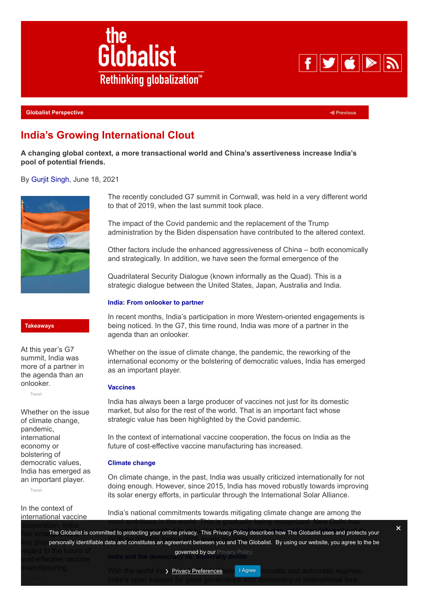

**[Globalist Perspective](https://www.theglobalist.com/category/globalist-perspective/)**

**[Previous](https://www.theglobalist.com/japan-to-mask-or-not-to-mask-covid/)**

 $F$  of  $\mathbb{Z}$ 

# **India's Growing International Clout**

**A changing global context, a more transactional world and China's assertiveness increase India's pool of potential friends.**

By [Gurjit Singh](https://www.theglobalist.com/author/gsingh/), June 18, 2021



The recently concluded G7 summit in Cornwall, was held in a very different world to that of 2019, when the last summit took place.

The impact of the Covid pandemic and the replacement of the Trump administration by the Biden dispensation have contributed to the altered context.

Other factors include the enhanced aggressiveness of China – both economically and strategically. In addition, we have seen the formal emergence of the

Quadrilateral Security Dialogue (known informally as the Quad). This is a strategic dialogue between the United States, Japan, Australia and India.

### **India: From onlooker to partner**

In recent months, India's participation in more Western-oriented engagements is being noticed. In the G7, this time round, India was more of a partner in the agenda than an onlooker.

Whether on the issue of climate change, the pandemic, the reworking of the international economy or the bolstering of democratic values, India has emerged as an important player.

#### **Vaccines**

India has always been a large producer of vaccines not just for its domestic market, but also for the rest of the world. That is an important fact whose strategic value has been highlighted by the Covid pandemic.

In the context of international vaccine cooperation, the focus on India as the future of cost-effective vaccine manufacturing has increased.

## **Climate change**

On climate change, in the past, India was usually criticized internationally for not doing enough. However, since 2015, India has moved robustly towards improving its solar energy efforts, in particular through the International Solar Alliance.

India's national commitments towards mitigating climate change are among the

has eme⊺he Globalist is committed to protecting your online privacy. This Privacy Policy describes how The Globalist uses and protects your key play personally identifiable data and constitutes an agreement between you and The Globalist. By using our website, you agree to the be most ambitious in the world. This is gradually being recognized. New Delhi has **India and the democracy verned by our [Privacy Policy.](https://www.theglobalist.com/privacy-policy/)** 

> With the world inc**y <u>Privacy Preferences</u> is the linese in** ocratic and autocratic regimes, India's open support for good governance and democracy at international fora,

**Takeaways**

At this year's G7 summit, India was more of a partner in the agenda than an onlooker.

[Tweet](https://twitter.com/intent/tweet?original_referer=https%3A%2F%2Fwww.theglobalist.com%2F&ref_src=twsrc%5Etfw&text=At%20this%20year%E2%80%99s%20G7%20summit%2C%20India%20was%20more%20of%20a%20partner%20in%20the%20agenda%20than%20an%20onlooker.&tw_p=tweetbutton&url=https%3A%2F%2Fwww.theglobalist.com%2Findia-growing-international-clout-policy%2F)

Whether on the issue of climate change, pandemic, international economy or bolstering of democratic values, India has emerged as an important player.

[Tweet](https://twitter.com/intent/tweet?original_referer=https%3A%2F%2Fwww.theglobalist.com%2F&ref_src=twsrc%5Etfw&text=Whether%20on%20the%20issue%20of%20climate%20change%2C%20pandemic%2C%20international%20economy%20or%20bolstering%20of%20democratic%20values%2C%20India%20has%20emerged%20as%20an%20important%20player.&tw_p=tweetbutton&url=https%3A%2F%2Fwww.theglobalist.com%2Findia-growing-international-clout-policy%2F)

In the context of international vaccine

×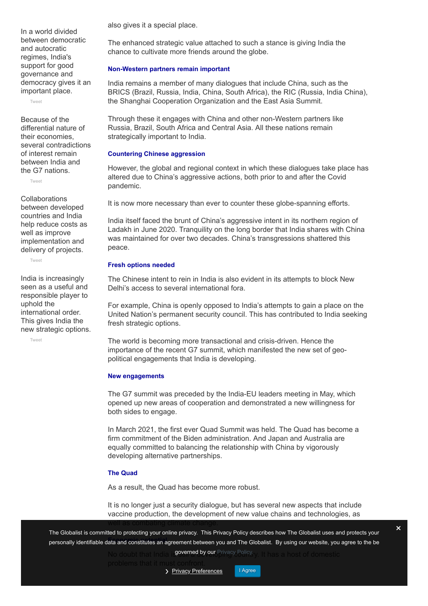In a world divided between democratic and autocratic regimes, India's support for good governance and democracy gives it an important place.

[Tweet](https://twitter.com/intent/tweet?original_referer=https%3A%2F%2Fwww.theglobalist.com%2F&ref_src=twsrc%5Etfw&text=In%20a%20world%20divided%20between%20democratic%20and%20autocratic%20regimes%2C%20India%27s%20support%20for%20good%20governance%20and%20democracy%20gives%20it%20an%20important%20place.&tw_p=tweetbutton&url=https%3A%2F%2Fwww.theglobalist.com%2Findia-growing-international-clout-policy%2F)

Because of the differential nature of their economies, several contradictions of interest remain between India and the G7 nations.

[Tweet](https://twitter.com/intent/tweet?original_referer=https%3A%2F%2Fwww.theglobalist.com%2F&ref_src=twsrc%5Etfw&text=Because%20of%20the%20differential%20nature%20of%20their%20economies%2C%20several%20contradictions%20of%20interest%20remain%20between%20India%20and%20the%20G7%20nations.%20&tw_p=tweetbutton&url=https%3A%2F%2Fwww.theglobalist.com%2Findia-growing-international-clout-policy%2F)

**Collaborations** between developed countries and India help reduce costs as well as improve implementation and delivery of projects.

[Tweet](https://twitter.com/intent/tweet?original_referer=https%3A%2F%2Fwww.theglobalist.com%2F&ref_src=twsrc%5Etfw&text=Collaborations%20between%20developed%20countries%20and%20India%20help%20reduce%20costs%20as%20well%20as%20improve%20implementation%20and%20delivery%20of%20projects.%20&tw_p=tweetbutton&url=https%3A%2F%2Fwww.theglobalist.com%2Findia-growing-international-clout-policy%2F)

India is increasingly seen as a useful and responsible player to uphold the international order. This gives India the new strategic options.

[Tweet](https://twitter.com/intent/tweet?original_referer=https%3A%2F%2Fwww.theglobalist.com%2F&ref_src=twsrc%5Etfw&text=India%20is%20increasingly%20seen%20as%20a%20useful%20and%20responsible%20player%20to%20uphold%20the%20international%20order.%20This%20gives%20India%20the%20new%20strategic%20options.&tw_p=tweetbutton&url=https%3A%2F%2Fwww.theglobalist.com%2Findia-growing-international-clout-policy%2F)

also gives it a special place.

The enhanced strategic value attached to such a stance is giving India the chance to cultivate more friends around the globe.

### **Non-Western partners remain important**

India remains a member of many dialogues that include China, such as the BRICS (Brazil, Russia, India, China, South Africa), the RIC (Russia, India China), the Shanghai Cooperation Organization and the East Asia Summit.

Through these it engages with China and other non-Western partners like Russia, Brazil, South Africa and Central Asia. All these nations remain strategically important to India.

## **Countering Chinese aggression**

However, the global and regional context in which these dialogues take place has altered due to China's aggressive actions, both prior to and after the Covid pandemic.

It is now more necessary than ever to counter these globe-spanning efforts.

India itself faced the brunt of China's aggressive intent in its northern region of Ladakh in June 2020. Tranquility on the long border that India shares with China was maintained for over two decades. China's transgressions shattered this peace.

## **Fresh options needed**

The Chinese intent to rein in India is also evident in its attempts to block New Delhi's access to several international fora.

For example, China is openly opposed to India's attempts to gain a place on the United Nation's permanent security council. This has contributed to India seeking fresh strategic options.

The world is becoming more transactional and crisis-driven. Hence the importance of the recent G7 summit, which manifested the new set of geopolitical engagements that India is developing.

## **New engagements**

The G7 summit was preceded by the India-EU leaders meeting in May, which opened up new areas of cooperation and demonstrated a new willingness for both sides to engage.

In March 2021, the first ever Quad Summit was held. The Quad has become a firm commitment of the Biden administration. And Japan and Australia are equally committed to balancing the relationship with China by vigorously developing alternative partnerships.

## **The Quad**

As a result, the Quad has become more robust.

It is no longer just a security dialogue, but has several new aspects that include vaccine production, the development of new value chains and technologies, as

**Economic potential** personally identifiable data and constitutes an agreement between you and The Globalist. By using our website, you agree to the be The Globalist is committed to protecting your online privacy. This Privacy Policy describes how The Globalist uses and protects your

No doubt that India is **governed by our** [Privacy Policy.](https://www.theglobalist.com/privacy-policy/)<sub>V.</sub> It has a host of domestic



×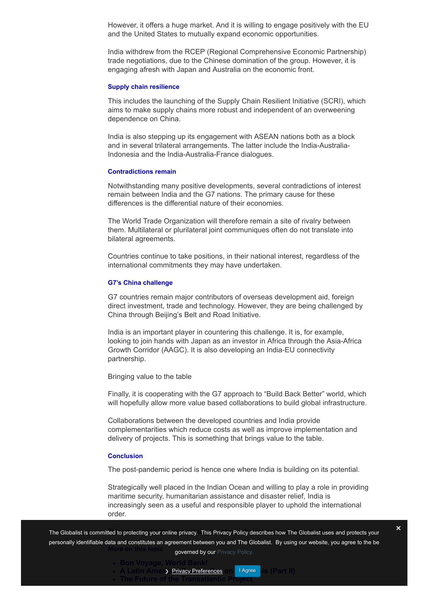However, it offers a huge market. And it is willing to engage positively with the EU and the United States to mutually expand economic opportunities.

India withdrew from the RCEP (Regional Comprehensive Economic Partnership) trade negotiations, due to the Chinese domination of the group. However, it is engaging afresh with Japan and Australia on the economic front.

#### **Supply chain resilience**

This includes the launching of the Supply Chain Resilient Initiative (SCRI), which aims to make supply chains more robust and independent of an overweening dependence on China.

India is also stepping up its engagement with ASEAN nations both as a block and in several trilateral arrangements. The latter include the India-Australia-Indonesia and the India-Australia-France dialogues.

#### **Contradictions remain**

Notwithstanding many positive developments, several contradictions of interest remain between India and the G7 nations. The primary cause for these differences is the differential nature of their economies.

The World Trade Organization will therefore remain a site of rivalry between them. Multilateral or plurilateral joint communiques often do not translate into bilateral agreements.

Countries continue to take positions, in their national interest, regardless of the international commitments they may have undertaken.

#### **G7's China challenge**

G7 countries remain major contributors of overseas development aid, foreign direct investment, trade and technology. However, they are being challenged by China through Beijing's Belt and Road Initiative.

India is an important player in countering this challenge. It is, for example, looking to join hands with Japan as an investor in Africa through the Asia-Africa Growth Corridor (AAGC). It is also developing an India-EU connectivity partnership.

Bringing value to the table

Finally, it is cooperating with the G7 approach to "Build Back Better" world, which will hopefully allow more value based collaborations to build global infrastructure.

Collaborations between the developed countries and India provide complementarities which reduce costs as well as improve implementation and delivery of projects. This is something that brings value to the table.

#### **Conclusion**

The post-pandemic period is hence one where India is building on its potential.

Strategically well placed in the Indian Ocean and willing to play a role in providing maritime security, humanitarian assistance and disaster relief, India is increasingly seen as a useful and responsible player to uphold the international order.

The Globalist is committed to protecting your online privacy. This Privacy Policy describes how The Globalist uses and protects your **More on this topic** personally identifiable data and constitutes an agreement between you and The Globalist. By using our website, you agree to the be governed by our [Privacy Policy.](https://www.theglobalist.com/privacy-policy/)

**[Bon Voyage, World Bank!](https://www.theglobalist.com/bon-voyage-world-bank/)**

- **A Latin Amer<b>) <u>Privacy Preferences</u> on <mark>TAgree I</mark>Is (Part III)**
- **[The Future of the Transatlantic Project](https://www.theglobalist.com/the-future-of-the-transatlantic-project/)**